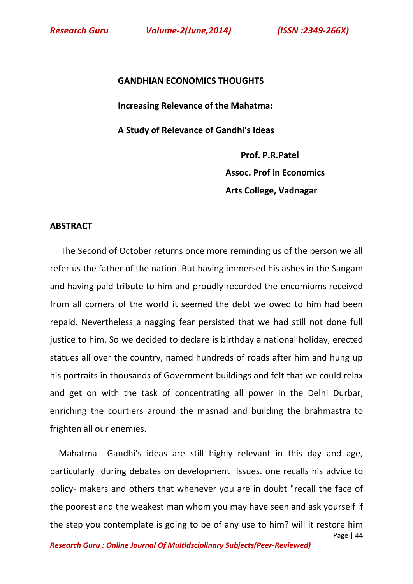**GANDHIAN ECONOMICS THOUGHTS Increasing Relevance of the Mahatma: A Study of Relevance of Gandhi's Ideas** 

 **Prof. P.R.Patel Assoc. Prof in Economics Arts College, Vadnagar**

## **ABSTRACT**

 The Second of October returns once more reminding us of the person we all refer us the father of the nation. But having immersed his ashes in the Sangam and having paid tribute to him and proudly recorded the encomiums received from all corners of the world it seemed the debt we owed to him had been repaid. Nevertheless a nagging fear persisted that we had still not done full justice to him. So we decided to declare is birthday a national holiday, erected statues all over the country, named hundreds of roads after him and hung up his portraits in thousands of Government buildings and felt that we could relax and get on with the task of concentrating all power in the Delhi Durbar, enriching the courtiers around the masnad and building the brahmastra to frighten all our enemies.

Page | 44 Mahatma Gandhi's ideas are still highly relevant in this day and age, particularly during debates on development issues. one recalls his advice to policy- makers and others that whenever you are in doubt "recall the face of the poorest and the weakest man whom you may have seen and ask yourself if the step you contemplate is going to be of any use to him? will it restore him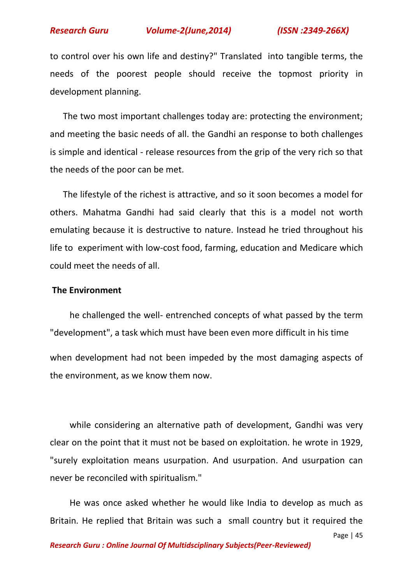to control over his own life and destiny?" Translated into tangible terms, the needs of the poorest people should receive the topmost priority in development planning.

 The two most important challenges today are: protecting the environment; and meeting the basic needs of all. the Gandhi an response to both challenges is simple and identical - release resources from the grip of the very rich so that the needs of the poor can be met.

 The lifestyle of the richest is attractive, and so it soon becomes a model for others. Mahatma Gandhi had said clearly that this is a model not worth emulating because it is destructive to nature. Instead he tried throughout his life to experiment with low-cost food, farming, education and Medicare which could meet the needs of all.

### **The Environment**

 he challenged the well- entrenched concepts of what passed by the term "development", a task which must have been even more difficult in his time when development had not been impeded by the most damaging aspects of the environment, as we know them now.

 while considering an alternative path of development, Gandhi was very clear on the point that it must not be based on exploitation. he wrote in 1929, "surely exploitation means usurpation. And usurpation. And usurpation can never be reconciled with spiritualism."

 He was once asked whether he would like India to develop as much as Britain. He replied that Britain was such a small country but it required the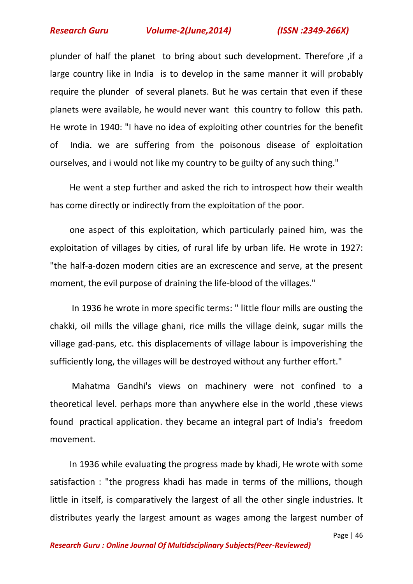plunder of half the planet to bring about such development. Therefore ,if a large country like in India is to develop in the same manner it will probably require the plunder of several planets. But he was certain that even if these planets were available, he would never want this country to follow this path. He wrote in 1940: "I have no idea of exploiting other countries for the benefit of India. we are suffering from the poisonous disease of exploitation ourselves, and i would not like my country to be guilty of any such thing."

 He went a step further and asked the rich to introspect how their wealth has come directly or indirectly from the exploitation of the poor.

 one aspect of this exploitation, which particularly pained him, was the exploitation of villages by cities, of rural life by urban life. He wrote in 1927: "the half-a-dozen modern cities are an excrescence and serve, at the present moment, the evil purpose of draining the life-blood of the villages."

 In 1936 he wrote in more specific terms: " little flour mills are ousting the chakki, oil mills the village ghani, rice mills the village deink, sugar mills the village gad-pans, etc. this displacements of village labour is impoverishing the sufficiently long, the villages will be destroyed without any further effort."

 Mahatma Gandhi's views on machinery were not confined to a theoretical level. perhaps more than anywhere else in the world ,these views found practical application. they became an integral part of India's freedom movement.

 In 1936 while evaluating the progress made by khadi, He wrote with some satisfaction : "the progress khadi has made in terms of the millions, though little in itself, is comparatively the largest of all the other single industries. It distributes yearly the largest amount as wages among the largest number of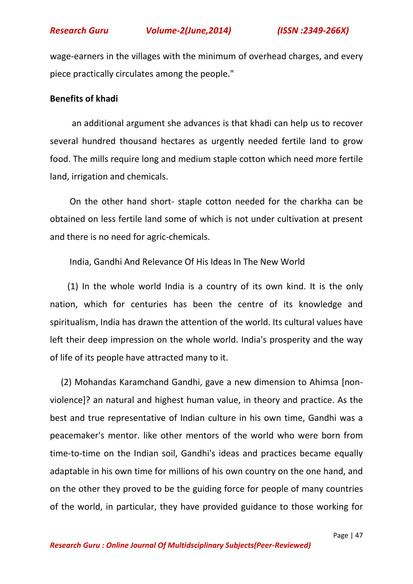

wage-earners in the villages with the minimum of overhead charges, and every piece practically circulates among the people."

## **Benefits of khadi**

 an additional argument she advances is that khadi can help us to recover several hundred thousand hectares as urgently needed fertile land to grow food. The mills require long and medium staple cotton which need more fertile land, irrigation and chemicals.

 On the other hand short- staple cotton needed for the charkha can be obtained on less fertile land some of which is not under cultivation at present and there is no need for agric-chemicals.

India, Gandhi And Relevance Of His Ideas In The New World

 (1) In the whole world India is a country of its own kind. It is the only nation, which for centuries has been the centre of its knowledge and spiritualism, India has drawn the attention of the world. Its cultural values have left their deep impression on the whole world. India's prosperity and the way of life of its people have attracted many to it.

 (2) Mohandas Karamchand Gandhi, gave a new dimension to Ahimsa [nonviolence]? an natural and highest human value, in theory and practice. As the best and true representative of Indian culture in his own time, Gandhi was a peacemaker's mentor. like other mentors of the world who were born from time-to-time on the Indian soil, Gandhi's ideas and practices became equally adaptable in his own time for millions of his own country on the one hand, and on the other they proved to be the guiding force for people of many countries of the world, in particular, they have provided guidance to those working for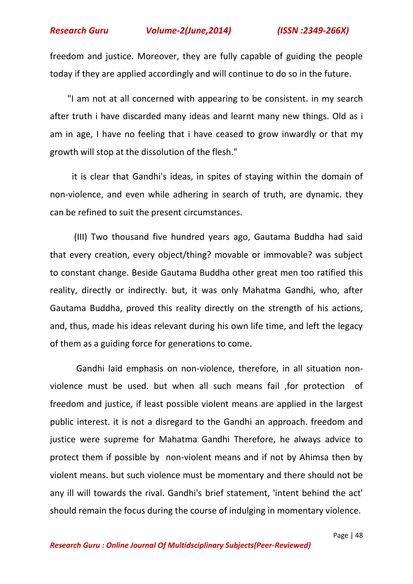freedom and justice. Moreover, they are fully capable of guiding the people today if they are applied accordingly and will continue to do so in the future.

 "I am not at all concerned with appearing to be consistent. in my search after truth i have discarded many ideas and learnt many new things. Old as i am in age, I have no feeling that i have ceased to grow inwardly or that my growth will stop at the dissolution of the flesh."

 it is clear that Gandhi's ideas, in spites of staying within the domain of non-violence, and even while adhering in search of truth, are dynamic. they can be refined to suit the present circumstances.

 (III) Two thousand five hundred years ago, Gautama Buddha had said that every creation, every object/thing? movable or immovable? was subject to constant change. Beside Gautama Buddha other great men too ratified this reality, directly or indirectly. but, it was only Mahatma Gandhi, who, after Gautama Buddha, proved this reality directly on the strength of his actions, and, thus, made his ideas relevant during his own life time, and left the legacy of them as a guiding force for generations to come.

 Gandhi laid emphasis on non-violence, therefore, in all situation nonviolence must be used. but when all such means fail ,for protection of freedom and justice, if least possible violent means are applied in the largest public interest. it is not a disregard to the Gandhi an approach. freedom and justice were supreme for Mahatma Gandhi Therefore, he always advice to protect them if possible by non-violent means and if not by Ahimsa then by violent means. but such violence must be momentary and there should not be any ill will towards the rival. Gandhi's brief statement, 'intent behind the act' should remain the focus during the course of indulging in momentary violence.